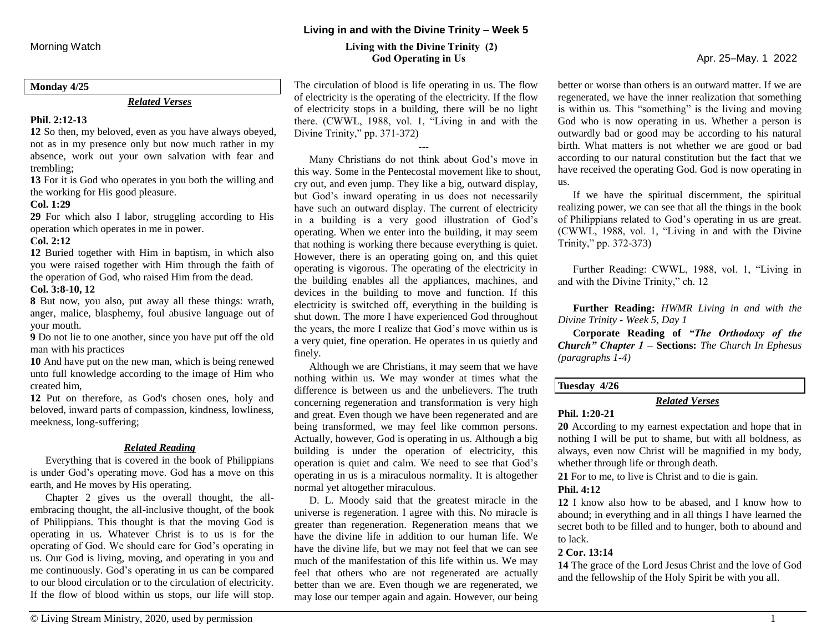#### **Monday 4/25**

#### *Related Verses*

# **Phil. 2:12-13**

**12** So then, my beloved, even as you have always obeyed, not as in my presence only but now much rather in my absence, work out your own salvation with fear and trembling;

**13** For it is God who operates in you both the willing and the working for His good pleasure.

#### **Col. 1:29**

**29** For which also I labor, struggling according to His operation which operates in me in power.

#### **Col. 2:12**

**12** Buried together with Him in baptism, in which also you were raised together with Him through the faith of the operation of God, who raised Him from the dead.

# **Col. 3:8-10, 12**

**8** But now, you also, put away all these things: wrath, anger, malice, blasphemy, foul abusive language out of your mouth.

**9** Do not lie to one another, since you have put off the old man with his practices

**10** And have put on the new man, which is being renewed unto full knowledge according to the image of Him who created him,

**12** Put on therefore, as God's chosen ones, holy and beloved, inward parts of compassion, kindness, lowliness, meekness, long-suffering;

#### *Related Reading*

Everything that is covered in the book of Philippians is under God's operating move. God has a move on this earth, and He moves by His operating.

Chapter 2 gives us the overall thought, the allembracing thought, the all-inclusive thought, of the book of Philippians. This thought is that the moving God is operating in us. Whatever Christ is to us is for the operating of God. We should care for God's operating in us. Our God is living, moving, and operating in you and me continuously. God's operating in us can be compared to our blood circulation or to the circulation of electricity. If the flow of blood within us stops, our life will stop.

# **Living in and with the Divine Trinity – Week 5**

# Morning Watch**Living with the Divine Trinity (2) God Operating in Us** Apr. 25–May. 1 2022

The circulation of blood is life operating in us. The flow of electricity is the operating of the electricity. If the flow of electricity stops in a building, there will be no light there. (CWWL, 1988, vol. 1, "Living in and with the Divine Trinity," pp. 371-372)

---

Many Christians do not think about God's move in this way. Some in the Pentecostal movement like to shout, cry out, and even jump. They like a big, outward display, but God's inward operating in us does not necessarily have such an outward display. The current of electricity in a building is a very good illustration of God's operating. When we enter into the building, it may seem that nothing is working there because everything is quiet. However, there is an operating going on, and this quiet operating is vigorous. The operating of the electricity in the building enables all the appliances, machines, and devices in the building to move and function. If this electricity is switched off, everything in the building is shut down. The more I have experienced God throughout the years, the more I realize that God's move within us is a very quiet, fine operation. He operates in us quietly and finely.

Although we are Christians, it may seem that we have nothing within us. We may wonder at times what the difference is between us and the unbelievers. The truth concerning regeneration and transformation is very high and great. Even though we have been regenerated and are being transformed, we may feel like common persons. Actually, however, God is operating in us. Although a big building is under the operation of electricity, this operation is quiet and calm. We need to see that God's operating in us is a miraculous normality. It is altogether normal yet altogether miraculous.

D. L. Moody said that the greatest miracle in the universe is regeneration. I agree with this. No miracle is greater than regeneration. Regeneration means that we have the divine life in addition to our human life. We have the divine life, but we may not feel that we can see much of the manifestation of this life within us. We may feel that others who are not regenerated are actually better than we are. Even though we are regenerated, we may lose our temper again and again. However, our being

better or worse than others is an outward matter. If we are regenerated, we have the inner realization that something is within us. This "something" is the living and moving God who is now operating in us. Whether a person is outwardly bad or good may be according to his natural birth. What matters is not whether we are good or bad according to our natural constitution but the fact that we have received the operating God. God is now operating in us.

If we have the spiritual discernment, the spiritual realizing power, we can see that all the things in the book of Philippians related to God's operating in us are great. (CWWL, 1988, vol. 1, "Living in and with the Divine Trinity," pp. 372-373)

Further Reading: CWWL, 1988, vol. 1, "Living in and with the Divine Trinity," ch. 12

**Further Reading:** *HWMR Living in and with the Divine Trinity - Week 5, Day 1*

**Corporate Reading of** *"The Orthodoxy of the Church" Chapter 1* **– Sections:** *The Church In Ephesus (paragraphs 1-4)*

# **Tuesday 4/26**

# *Related Verses*

# **Phil. 1:20-21**

**20** According to my earnest expectation and hope that in nothing I will be put to shame, but with all boldness, as always, even now Christ will be magnified in my body, whether through life or through death.

**21** For to me, to live is Christ and to die is gain.

#### **Phil. 4:12**

**12** I know also how to be abased, and I know how to abound; in everything and in all things I have learned the secret both to be filled and to hunger, both to abound and to lack.

# **2 Cor. 13:14**

**14** The grace of the Lord Jesus Christ and the love of God and the fellowship of the Holy Spirit be with you all.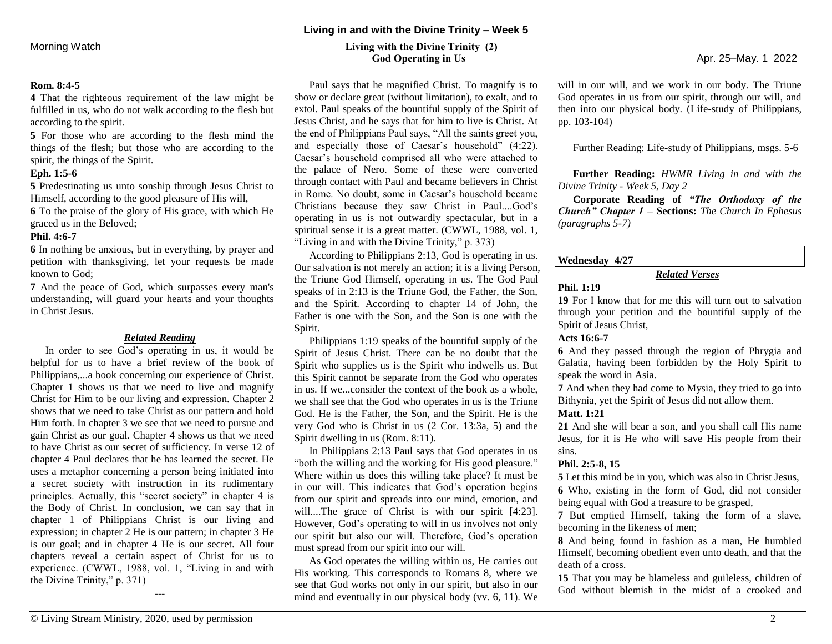#### **Rom. 8:4-5**

**4** That the righteous requirement of the law might be fulfilled in us, who do not walk according to the flesh but according to the spirit.

**5** For those who are according to the flesh mind the things of the flesh; but those who are according to the spirit, the things of the Spirit.

#### **Eph. 1:5-6**

**5** Predestinating us unto sonship through Jesus Christ to Himself, according to the good pleasure of His will,

**6** To the praise of the glory of His grace, with which He graced us in the Beloved;

#### **Phil. 4:6-7**

**6** In nothing be anxious, but in everything, by prayer and petition with thanksgiving, let your requests be made known to God;

**7** And the peace of God, which surpasses every man's understanding, will guard your hearts and your thoughts in Christ Jesus.

### *Related Reading*

In order to see God's operating in us, it would be helpful for us to have a brief review of the book of Philippians,...a book concerning our experience of Christ. Chapter 1 shows us that we need to live and magnify Christ for Him to be our living and expression. Chapter 2 shows that we need to take Christ as our pattern and hold Him forth. In chapter 3 we see that we need to pursue and gain Christ as our goal. Chapter 4 shows us that we need to have Christ as our secret of sufficiency. In verse 12 of chapter 4 Paul declares that he has learned the secret. He uses a metaphor concerning a person being initiated into a secret society with instruction in its rudimentary principles. Actually, this "secret society" in chapter 4 is the Body of Christ. In conclusion, we can say that in chapter 1 of Philippians Christ is our living and expression; in chapter 2 He is our pattern; in chapter 3 He is our goal; and in chapter 4 He is our secret. All four chapters reveal a certain aspect of Christ for us to experience. (CWWL, 1988, vol. 1, "Living in and with the Divine Trinity," p. 371)

# Morning Watch**Living with the Divine Trinity (2) God Operating in Us** Apr. 25–May. 1 2022

Paul says that he magnified Christ. To magnify is to show or declare great (without limitation), to exalt, and to extol. Paul speaks of the bountiful supply of the Spirit of Jesus Christ, and he says that for him to live is Christ. At the end of Philippians Paul says, "All the saints greet you, and especially those of Caesar's household" (4:22). Caesar's household comprised all who were attached to the palace of Nero. Some of these were converted through contact with Paul and became believers in Christ in Rome. No doubt, some in Caesar's household became Christians because they saw Christ in Paul....God's operating in us is not outwardly spectacular, but in a spiritual sense it is a great matter. (CWWL, 1988, vol. 1, "Living in and with the Divine Trinity," p. 373)

According to Philippians 2:13, God is operating in us. Our salvation is not merely an action; it is a living Person, the Triune God Himself, operating in us. The God Paul speaks of in 2:13 is the Triune God, the Father, the Son, and the Spirit. According to chapter 14 of John, the Father is one with the Son, and the Son is one with the Spirit.

Philippians 1:19 speaks of the bountiful supply of the Spirit of Jesus Christ. There can be no doubt that the Spirit who supplies us is the Spirit who indwells us. But this Spirit cannot be separate from the God who operates in us. If we...consider the context of the book as a whole, we shall see that the God who operates in us is the Triune God. He is the Father, the Son, and the Spirit. He is the very God who is Christ in us (2 Cor. 13:3a, 5) and the Spirit dwelling in us (Rom. 8:11).

In Philippians 2:13 Paul says that God operates in us "both the willing and the working for His good pleasure." Where within us does this willing take place? It must be in our will. This indicates that God's operation begins from our spirit and spreads into our mind, emotion, and will....The grace of Christ is with our spirit [4:23]. However, God's operating to will in us involves not only our spirit but also our will. Therefore, God's operation must spread from our spirit into our will.

As God operates the willing within us, He carries out His working. This corresponds to Romans 8, where we see that God works not only in our spirit, but also in our mind and eventually in our physical body (vv. 6, 11). We

will in our will, and we work in our body. The Triune God operates in us from our spirit, through our will, and then into our physical body. (Life-study of Philippians, pp. 103-104)

Further Reading: Life-study of Philippians, msgs. 5-6

**Further Reading:** *HWMR Living in and with the Divine Trinity - Week 5, Day 2*

**Corporate Reading of** *"The Orthodoxy of the Church" Chapter 1* **– Sections:** *The Church In Ephesus (paragraphs 5-7)*

# **Wednesday 4/27**

# *Related Verses*

## **Phil. 1:19**

**19** For I know that for me this will turn out to salvation through your petition and the bountiful supply of the Spirit of Jesus Christ,

#### **Acts 16:6-7**

**6** And they passed through the region of Phrygia and Galatia, having been forbidden by the Holy Spirit to speak the word in Asia.

**7** And when they had come to Mysia, they tried to go into Bithynia, yet the Spirit of Jesus did not allow them.

# **Matt. 1:21**

**21** And she will bear a son, and you shall call His name Jesus, for it is He who will save His people from their sins.

#### **Phil. 2:5-8, 15**

**5** Let this mind be in you, which was also in Christ Jesus, **6** Who, existing in the form of God, did not consider being equal with God a treasure to be grasped,

**7** But emptied Himself, taking the form of a slave, becoming in the likeness of men;

**8** And being found in fashion as a man, He humbled Himself, becoming obedient even unto death, and that the death of a cross.

**15** That you may be blameless and guileless, children of God without blemish in the midst of a crooked and

---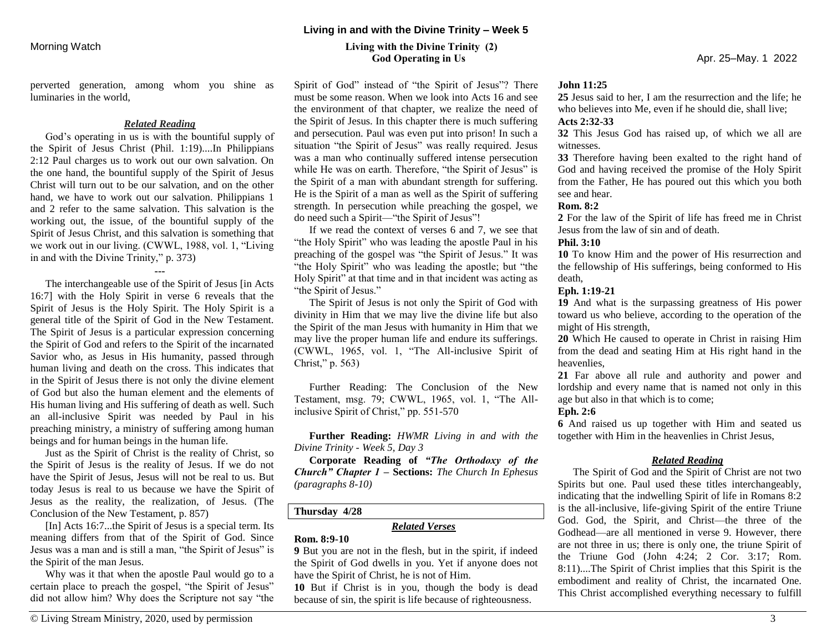perverted generation, among whom you shine as luminaries in the world,

#### *Related Reading*

God's operating in us is with the bountiful supply of the Spirit of Jesus Christ (Phil. 1:19)....In Philippians 2:12 Paul charges us to work out our own salvation. On the one hand, the bountiful supply of the Spirit of Jesus Christ will turn out to be our salvation, and on the other hand, we have to work out our salvation. Philippians 1 and 2 refer to the same salvation. This salvation is the working out, the issue, of the bountiful supply of the Spirit of Jesus Christ, and this salvation is something that we work out in our living. (CWWL, 1988, vol. 1, "Living in and with the Divine Trinity," p. 373)

**---**

The interchangeable use of the Spirit of Jesus [in Acts 16:7] with the Holy Spirit in verse 6 reveals that the Spirit of Jesus is the Holy Spirit. The Holy Spirit is a general title of the Spirit of God in the New Testament. The Spirit of Jesus is a particular expression concerning the Spirit of God and refers to the Spirit of the incarnated Savior who, as Jesus in His humanity, passed through human living and death on the cross. This indicates that in the Spirit of Jesus there is not only the divine element of God but also the human element and the elements of His human living and His suffering of death as well. Such an all-inclusive Spirit was needed by Paul in his preaching ministry, a ministry of suffering among human beings and for human beings in the human life.

Just as the Spirit of Christ is the reality of Christ, so the Spirit of Jesus is the reality of Jesus. If we do not have the Spirit of Jesus, Jesus will not be real to us. But today Jesus is real to us because we have the Spirit of Jesus as the reality, the realization, of Jesus. (The Conclusion of the New Testament, p. 857)

[In] Acts 16:7...the Spirit of Jesus is a special term. Its meaning differs from that of the Spirit of God. Since Jesus was a man and is still a man, "the Spirit of Jesus" is the Spirit of the man Jesus.

Why was it that when the apostle Paul would go to a certain place to preach the gospel, "the Spirit of Jesus" did not allow him? Why does the Scripture not say "the

# Morning Watch**Living with the Divine Trinity (2) God Operating in Us** Apr. 25–May. 1 2022

Spirit of God" instead of "the Spirit of Jesus"? There must be some reason. When we look into Acts 16 and see the environment of that chapter, we realize the need of the Spirit of Jesus. In this chapter there is much suffering and persecution. Paul was even put into prison! In such a situation "the Spirit of Jesus" was really required. Jesus was a man who continually suffered intense persecution while He was on earth. Therefore, "the Spirit of Jesus" is the Spirit of a man with abundant strength for suffering. He is the Spirit of a man as well as the Spirit of suffering strength. In persecution while preaching the gospel, we do need such a Spirit—"the Spirit of Jesus"!

If we read the context of verses 6 and 7, we see that "the Holy Spirit" who was leading the apostle Paul in his preaching of the gospel was "the Spirit of Jesus." It was "the Holy Spirit" who was leading the apostle; but "the Holy Spirit" at that time and in that incident was acting as "the Spirit of Jesus."

The Spirit of Jesus is not only the Spirit of God with divinity in Him that we may live the divine life but also the Spirit of the man Jesus with humanity in Him that we may live the proper human life and endure its sufferings. (CWWL, 1965, vol. 1, "The All-inclusive Spirit of Christ," p. 563)

Further Reading: The Conclusion of the New Testament, msg. 79; CWWL, 1965, vol. 1, "The Allinclusive Spirit of Christ," pp. 551-570

**Further Reading:** *HWMR Living in and with the Divine Trinity - Week 5, Day 3*

**Corporate Reading of** *"The Orthodoxy of the Church" Chapter 1* **– Sections:** *The Church In Ephesus (paragraphs 8-10)*

#### **Thursday 4/28**

### *Related Verses*

# **Rom. 8:9-10**

**9** But you are not in the flesh, but in the spirit, if indeed the Spirit of God dwells in you. Yet if anyone does not have the Spirit of Christ, he is not of Him.

**10** But if Christ is in you, though the body is dead because of sin, the spirit is life because of righteousness.

#### **John 11:25**

**25** Jesus said to her, I am the resurrection and the life; he who believes into Me, even if he should die, shall live;

# **Acts 2:32-33**

**32** This Jesus God has raised up, of which we all are witnesses.

**33** Therefore having been exalted to the right hand of God and having received the promise of the Holy Spirit from the Father, He has poured out this which you both see and hear.

#### **Rom. 8:2**

**2** For the law of the Spirit of life has freed me in Christ Jesus from the law of sin and of death.

#### **Phil. 3:10**

**10** To know Him and the power of His resurrection and the fellowship of His sufferings, being conformed to His death,

#### **Eph. 1:19-21**

**19** And what is the surpassing greatness of His power toward us who believe, according to the operation of the might of His strength,

**20** Which He caused to operate in Christ in raising Him from the dead and seating Him at His right hand in the heavenlies,

**21** Far above all rule and authority and power and lordship and every name that is named not only in this age but also in that which is to come;

#### **Eph. 2:6**

**6** And raised us up together with Him and seated us together with Him in the heavenlies in Christ Jesus,

#### *Related Reading*

The Spirit of God and the Spirit of Christ are not two Spirits but one. Paul used these titles interchangeably, indicating that the indwelling Spirit of life in Romans 8:2 is the all-inclusive, life-giving Spirit of the entire Triune God. God, the Spirit, and Christ—the three of the Godhead—are all mentioned in verse 9. However, there are not three in us; there is only one, the triune Spirit of the Triune God (John 4:24; 2 Cor. 3:17; Rom. 8:11)....The Spirit of Christ implies that this Spirit is the embodiment and reality of Christ, the incarnated One. This Christ accomplished everything necessary to fulfill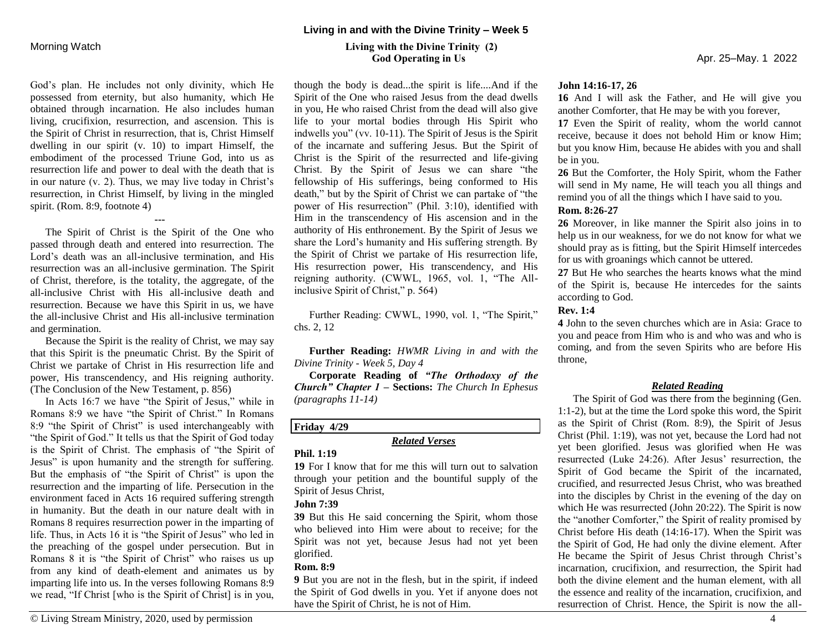God's plan. He includes not only divinity, which He possessed from eternity, but also humanity, which He obtained through incarnation. He also includes human living, crucifixion, resurrection, and ascension. This is the Spirit of Christ in resurrection, that is, Christ Himself dwelling in our spirit (v. 10) to impart Himself, the embodiment of the processed Triune God, into us as resurrection life and power to deal with the death that is in our nature (v. 2). Thus, we may live today in Christ's resurrection, in Christ Himself, by living in the mingled spirit. (Rom. 8:9, footnote 4)

The Spirit of Christ is the Spirit of the One who passed through death and entered into resurrection. The Lord's death was an all-inclusive termination, and His resurrection was an all-inclusive germination. The Spirit of Christ, therefore, is the totality, the aggregate, of the all-inclusive Christ with His all-inclusive death and resurrection. Because we have this Spirit in us, we have the all-inclusive Christ and His all-inclusive termination and germination.

**---**

Because the Spirit is the reality of Christ, we may say that this Spirit is the pneumatic Christ. By the Spirit of Christ we partake of Christ in His resurrection life and power, His transcendency, and His reigning authority. (The Conclusion of the New Testament, p. 856)

In Acts 16:7 we have "the Spirit of Jesus," while in Romans 8:9 we have "the Spirit of Christ." In Romans 8:9 "the Spirit of Christ" is used interchangeably with "the Spirit of God." It tells us that the Spirit of God today is the Spirit of Christ. The emphasis of "the Spirit of Jesus" is upon humanity and the strength for suffering. But the emphasis of "the Spirit of Christ" is upon the resurrection and the imparting of life. Persecution in the environment faced in Acts 16 required suffering strength in humanity. But the death in our nature dealt with in Romans 8 requires resurrection power in the imparting of life. Thus, in Acts 16 it is "the Spirit of Jesus" who led in the preaching of the gospel under persecution. But in Romans 8 it is "the Spirit of Christ" who raises us up from any kind of death-element and animates us by imparting life into us. In the verses following Romans 8:9 we read, "If Christ [who is the Spirit of Christ] is in you,

# Morning Watch**Living with the Divine Trinity (2) God Operating in Us** Apr. 25–May. 1 2022

though the body is dead...the spirit is life....And if the Spirit of the One who raised Jesus from the dead dwells in you, He who raised Christ from the dead will also give life to your mortal bodies through His Spirit who indwells you" (vv. 10-11). The Spirit of Jesus is the Spirit of the incarnate and suffering Jesus. But the Spirit of Christ is the Spirit of the resurrected and life-giving Christ. By the Spirit of Jesus we can share "the fellowship of His sufferings, being conformed to His death," but by the Spirit of Christ we can partake of "the power of His resurrection" (Phil. 3:10), identified with Him in the transcendency of His ascension and in the authority of His enthronement. By the Spirit of Jesus we share the Lord's humanity and His suffering strength. By the Spirit of Christ we partake of His resurrection life, His resurrection power, His transcendency, and His reigning authority. (CWWL, 1965, vol. 1, "The Allinclusive Spirit of Christ," p. 564)

Further Reading: CWWL, 1990, vol. 1, "The Spirit," chs. 2, 12

**Further Reading:** *HWMR Living in and with the Divine Trinity - Week 5, Day 4*

**Corporate Reading of** *"The Orthodoxy of the Church" Chapter 1* **– Sections:** *The Church In Ephesus (paragraphs 11-14)*

# **Friday 4/29**

# *Related Verses*

### **Phil. 1:19**

**19** For I know that for me this will turn out to salvation through your petition and the bountiful supply of the Spirit of Jesus Christ,

# **John 7:39**

**39** But this He said concerning the Spirit, whom those who believed into Him were about to receive; for the Spirit was not yet, because Jesus had not yet been glorified.

# **Rom. 8:9**

**9** But you are not in the flesh, but in the spirit, if indeed the Spirit of God dwells in you. Yet if anyone does not have the Spirit of Christ, he is not of Him.

#### **John 14:16-17, 26**

**16** And I will ask the Father, and He will give you another Comforter, that He may be with you forever,

**17** Even the Spirit of reality, whom the world cannot receive, because it does not behold Him or know Him; but you know Him, because He abides with you and shall be in you.

**26** But the Comforter, the Holy Spirit, whom the Father will send in My name, He will teach you all things and remind you of all the things which I have said to you.

### **Rom. 8:26-27**

**26** Moreover, in like manner the Spirit also joins in to help us in our weakness, for we do not know for what we should pray as is fitting, but the Spirit Himself intercedes for us with groanings which cannot be uttered.

**27** But He who searches the hearts knows what the mind of the Spirit is, because He intercedes for the saints according to God.

# **Rev. 1:4**

**4** John to the seven churches which are in Asia: Grace to you and peace from Him who is and who was and who is coming, and from the seven Spirits who are before His throne,

# *Related Reading*

The Spirit of God was there from the beginning (Gen. 1:1-2), but at the time the Lord spoke this word, the Spirit as the Spirit of Christ (Rom. 8:9), the Spirit of Jesus Christ (Phil. 1:19), was not yet, because the Lord had not yet been glorified. Jesus was glorified when He was resurrected (Luke 24:26). After Jesus' resurrection, the Spirit of God became the Spirit of the incarnated, crucified, and resurrected Jesus Christ, who was breathed into the disciples by Christ in the evening of the day on which He was resurrected (John 20:22). The Spirit is now the "another Comforter," the Spirit of reality promised by Christ before His death (14:16-17). When the Spirit was the Spirit of God, He had only the divine element. After He became the Spirit of Jesus Christ through Christ's incarnation, crucifixion, and resurrection, the Spirit had both the divine element and the human element, with all the essence and reality of the incarnation, crucifixion, and resurrection of Christ. Hence, the Spirit is now the all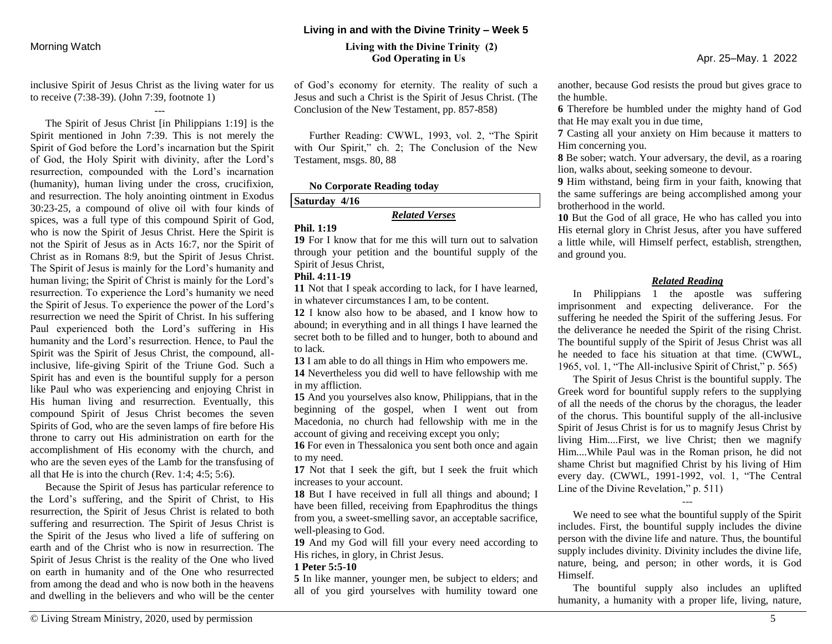inclusive Spirit of Jesus Christ as the living water for us to receive (7:38-39). (John 7:39, footnote 1)

---

The Spirit of Jesus Christ [in Philippians 1:19] is the Spirit mentioned in John 7:39. This is not merely the Spirit of God before the Lord's incarnation but the Spirit of God, the Holy Spirit with divinity, after the Lord's resurrection, compounded with the Lord's incarnation (humanity), human living under the cross, crucifixion, and resurrection. The holy anointing ointment in Exodus 30:23-25, a compound of olive oil with four kinds of spices, was a full type of this compound Spirit of God, who is now the Spirit of Jesus Christ. Here the Spirit is not the Spirit of Jesus as in Acts 16:7, nor the Spirit of Christ as in Romans 8:9, but the Spirit of Jesus Christ. The Spirit of Jesus is mainly for the Lord's humanity and human living; the Spirit of Christ is mainly for the Lord's resurrection. To experience the Lord's humanity we need the Spirit of Jesus. To experience the power of the Lord's resurrection we need the Spirit of Christ. In his suffering Paul experienced both the Lord's suffering in His humanity and the Lord's resurrection. Hence, to Paul the Spirit was the Spirit of Jesus Christ, the compound, allinclusive, life-giving Spirit of the Triune God. Such a Spirit has and even is the bountiful supply for a person like Paul who was experiencing and enjoying Christ in His human living and resurrection. Eventually, this compound Spirit of Jesus Christ becomes the seven Spirits of God, who are the seven lamps of fire before His throne to carry out His administration on earth for the accomplishment of His economy with the church, and who are the seven eyes of the Lamb for the transfusing of all that He is into the church (Rev. 1:4; 4:5; 5:6).

Because the Spirit of Jesus has particular reference to the Lord's suffering, and the Spirit of Christ, to His resurrection, the Spirit of Jesus Christ is related to both suffering and resurrection. The Spirit of Jesus Christ is the Spirit of the Jesus who lived a life of suffering on earth and of the Christ who is now in resurrection. The Spirit of Jesus Christ is the reality of the One who lived on earth in humanity and of the One who resurrected from among the dead and who is now both in the heavens and dwelling in the believers and who will be the center

#### **Living in and with the Divine Trinity – Week 5**

# Morning Watch**Living with the Divine Trinity (2) God Operating in Us** Apr. 25–May. 1 2022

of God's economy for eternity. The reality of such a Jesus and such a Christ is the Spirit of Jesus Christ. (The Conclusion of the New Testament, pp. 857-858)

Further Reading: CWWL, 1993, vol. 2, "The Spirit with Our Spirit," ch. 2; The Conclusion of the New Testament, msgs. 80, 88

#### **No Corporate Reading today**

#### **Saturday 4/16**

# *Related Verses*

### **Phil. 1:19**

**19** For I know that for me this will turn out to salvation through your petition and the bountiful supply of the Spirit of Jesus Christ,

# **Phil. 4:11-19**

**11** Not that I speak according to lack, for I have learned, in whatever circumstances I am, to be content.

**12** I know also how to be abased, and I know how to abound; in everything and in all things I have learned the secret both to be filled and to hunger, both to abound and to lack.

**13** I am able to do all things in Him who empowers me.

**14** Nevertheless you did well to have fellowship with me in my affliction.

**15** And you yourselves also know, Philippians, that in the beginning of the gospel, when I went out from Macedonia, no church had fellowship with me in the account of giving and receiving except you only;

**16** For even in Thessalonica you sent both once and again to my need.

**17** Not that I seek the gift, but I seek the fruit which increases to your account.

**18** But I have received in full all things and abound; I have been filled, receiving from Epaphroditus the things from you, a sweet-smelling savor, an acceptable sacrifice, well-pleasing to God.

**19** And my God will fill your every need according to His riches, in glory, in Christ Jesus.

# **1 Peter 5:5-10**

**5** In like manner, younger men, be subject to elders; and all of you gird yourselves with humility toward one another, because God resists the proud but gives grace to the humble.

**6** Therefore be humbled under the mighty hand of God that He may exalt you in due time,

**7** Casting all your anxiety on Him because it matters to Him concerning you.

**8** Be sober; watch. Your adversary, the devil, as a roaring lion, walks about, seeking someone to devour.

**9** Him withstand, being firm in your faith, knowing that the same sufferings are being accomplished among your brotherhood in the world.

**10** But the God of all grace, He who has called you into His eternal glory in Christ Jesus, after you have suffered a little while, will Himself perfect, establish, strengthen, and ground you.

# *Related Reading*

In Philippians 1 the apostle was suffering imprisonment and expecting deliverance. For the suffering he needed the Spirit of the suffering Jesus. For the deliverance he needed the Spirit of the rising Christ. The bountiful supply of the Spirit of Jesus Christ was all he needed to face his situation at that time. (CWWL, 1965, vol. 1, "The All-inclusive Spirit of Christ," p. 565)

The Spirit of Jesus Christ is the bountiful supply. The Greek word for bountiful supply refers to the supplying of all the needs of the chorus by the choragus, the leader of the chorus. This bountiful supply of the all-inclusive Spirit of Jesus Christ is for us to magnify Jesus Christ by living Him....First, we live Christ; then we magnify Him....While Paul was in the Roman prison, he did not shame Christ but magnified Christ by his living of Him every day. (CWWL, 1991-1992, vol. 1, "The Central Line of the Divine Revelation," p. 511)

--- We need to see what the bountiful supply of the Spirit includes. First, the bountiful supply includes the divine person with the divine life and nature. Thus, the bountiful supply includes divinity. Divinity includes the divine life, nature, being, and person; in other words, it is God Himself.

The bountiful supply also includes an uplifted humanity, a humanity with a proper life, living, nature,